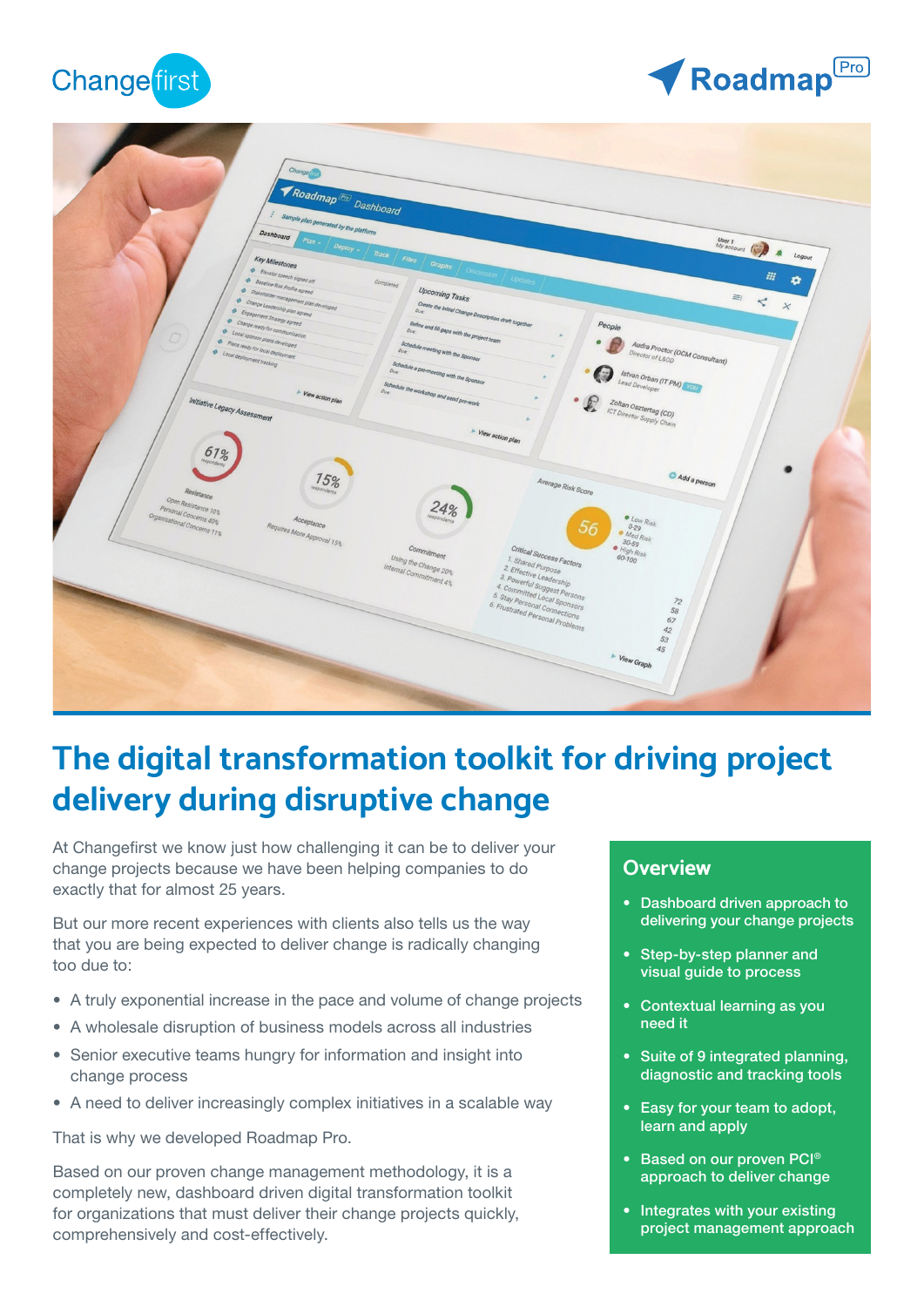

# Roadmap<sup>Pro</sup>



## **The digital transformation toolkit for driving project delivery during disruptive change**

At Changefirst we know just how challenging it can be to deliver your change projects because we have been helping companies to do exactly that for almost 25 years.

But our more recent experiences with clients also tells us the way that you are being expected to deliver change is radically changing too due to:

- A truly exponential increase in the pace and volume of change projects
- A wholesale disruption of business models across all industries
- Senior executive teams hungry for information and insight into change process
- A need to deliver increasingly complex initiatives in a scalable way

That is why we developed Roadmap Pro.

Based on our proven change management methodology, it is a completely new, dashboard driven digital transformation toolkit for organizations that must deliver their change projects quickly, comprehensively and cost-effectively.

#### **Overview**

- Dashboard driven approach to delivering your change projects
- Step-by-step planner and visual guide to process
- Contextual learning as you need it
- Suite of 9 integrated planning, diagnostic and tracking tools
- Easy for your team to adopt, learn and apply
- Based on our proven PCI<sup>®</sup> approach to deliver change
- Integrates with your existing project management approach